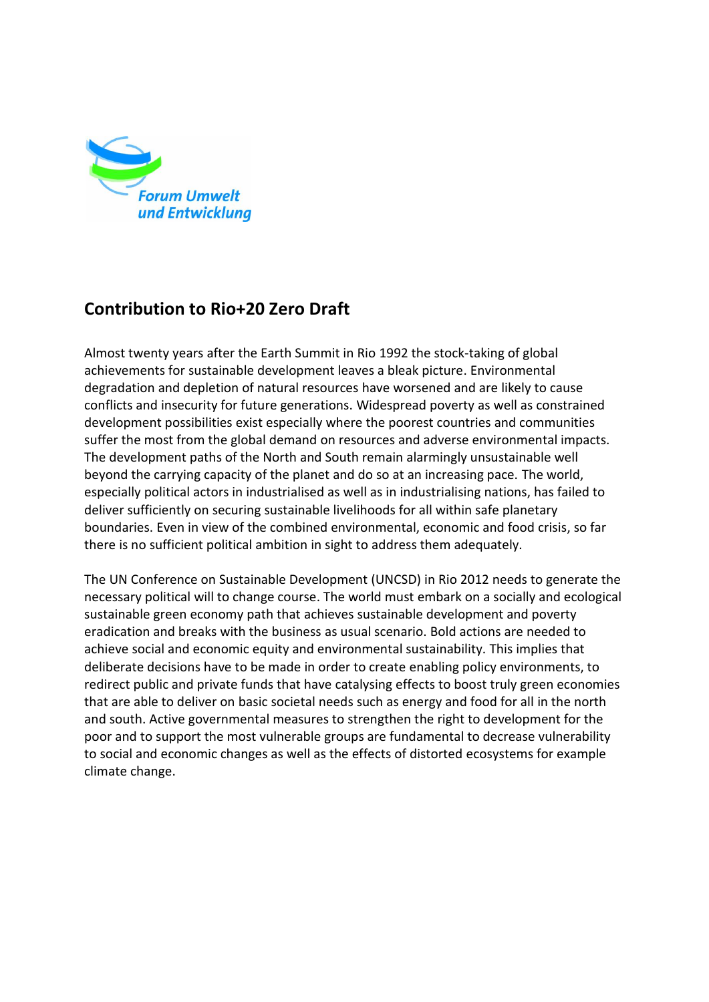

## **Contribution to Rio+20 Zero Draft**

Almost twenty years after the Earth Summit in Rio 1992 the stock-taking of global achievements for sustainable development leaves a bleak picture. Environmental degradation and depletion of natural resources have worsened and are likely to cause conflicts and insecurity for future generations. Widespread poverty as well as constrained development possibilities exist especially where the poorest countries and communities suffer the most from the global demand on resources and adverse environmental impacts. The development paths of the North and South remain alarmingly unsustainable well beyond the carrying capacity of the planet and do so at an increasing pace. The world, especially political actors in industrialised as well as in industrialising nations, has failed to deliver sufficiently on securing sustainable livelihoods for all within safe planetary boundaries. Even in view of the combined environmental, economic and food crisis, so far there is no sufficient political ambition in sight to address them adequately.

The UN Conference on Sustainable Development (UNCSD) in Rio 2012 needs to generate the necessary political will to change course. The world must embark on a socially and ecological sustainable green economy path that achieves sustainable development and poverty eradication and breaks with the business as usual scenario. Bold actions are needed to achieve social and economic equity and environmental sustainability. This implies that deliberate decisions have to be made in order to create enabling policy environments, to redirect public and private funds that have catalysing effects to boost truly green economies that are able to deliver on basic societal needs such as energy and food for all in the north and south. Active governmental measures to strengthen the right to development for the poor and to support the most vulnerable groups are fundamental to decrease vulnerability to social and economic changes as well as the effects of distorted ecosystems for example climate change.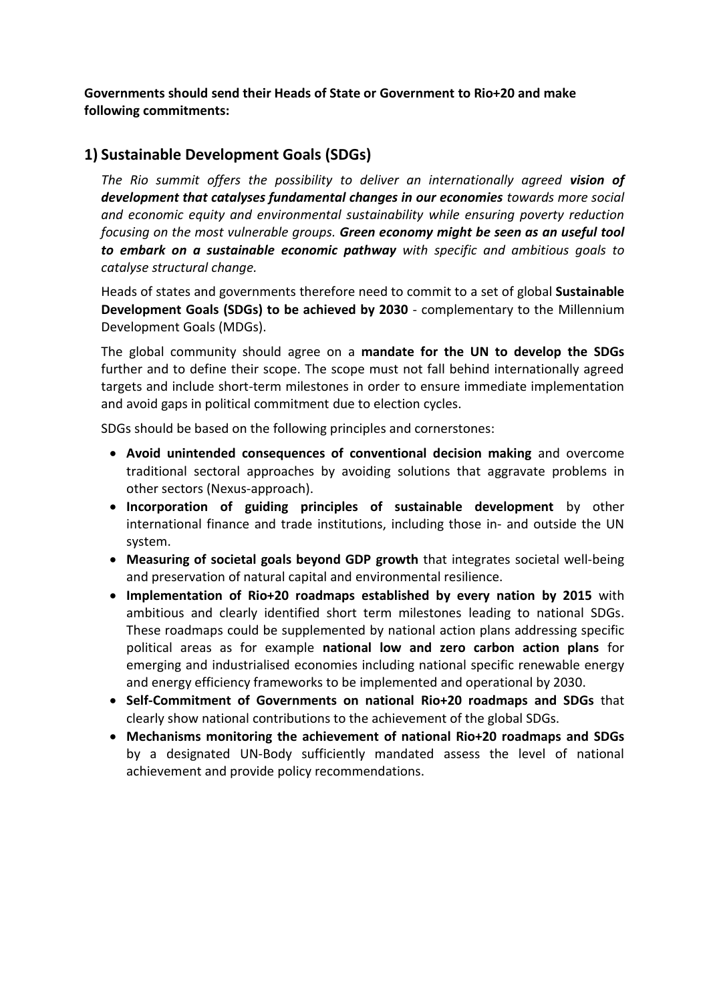**Governments should send their Heads of State or Government to Rio+20 and make following commitments:**

## **1) Sustainable Development Goals (SDGs)**

*The Rio summit offers the possibility to deliver an internationally agreed vision of development that catalyses fundamental changes in our economies towards more social and economic equity and environmental sustainability while ensuring poverty reduction focusing on the most vulnerable groups. Green economy might be seen as an useful tool to embark on a sustainable economic pathway with specific and ambitious goals to catalyse structural change.*

Heads of states and governments therefore need to commit to a set of global **Sustainable Development Goals (SDGs) to be achieved by 2030** - complementary to the Millennium Development Goals (MDGs).

The global community should agree on a **mandate for the UN to develop the SDGs** further and to define their scope. The scope must not fall behind internationally agreed targets and include short-term milestones in order to ensure immediate implementation and avoid gaps in political commitment due to election cycles.

SDGs should be based on the following principles and cornerstones:

- **Avoid unintended consequences of conventional decision making** and overcome traditional sectoral approaches by avoiding solutions that aggravate problems in other sectors (Nexus-approach).
- **Incorporation of guiding principles of sustainable development** by other international finance and trade institutions, including those in- and outside the UN system.
- **Measuring of societal goals beyond GDP growth** that integrates societal well-being and preservation of natural capital and environmental resilience.
- **Implementation of Rio+20 roadmaps established by every nation by 2015** with ambitious and clearly identified short term milestones leading to national SDGs. These roadmaps could be supplemented by national action plans addressing specific political areas as for example **national low and zero carbon action plans** for emerging and industrialised economies including national specific renewable energy and energy efficiency frameworks to be implemented and operational by 2030.
- **Self-Commitment of Governments on national Rio+20 roadmaps and SDGs** that clearly show national contributions to the achievement of the global SDGs.
- **Mechanisms monitoring the achievement of national Rio+20 roadmaps and SDGs** by a designated UN-Body sufficiently mandated assess the level of national achievement and provide policy recommendations.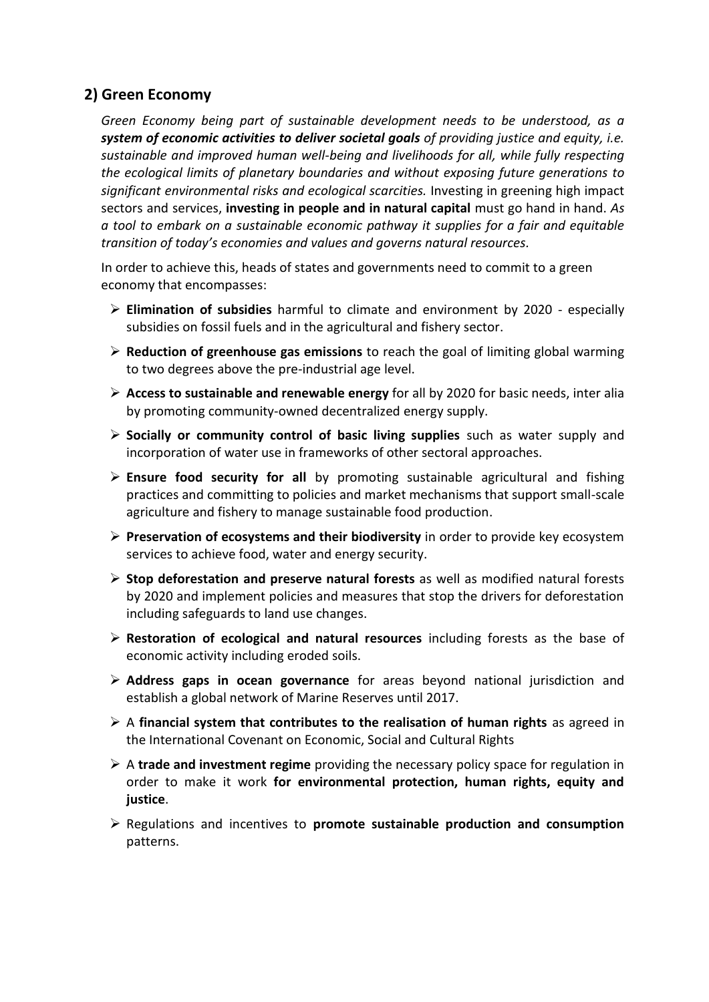## **2) Green Economy**

*Green Economy being part of sustainable development needs to be understood, as a system of economic activities to deliver societal goals of providing justice and equity, i.e. sustainable and improved human well-being and livelihoods for all, while fully respecting the ecological limits of planetary boundaries and without exposing future generations to significant environmental risks and ecological scarcities.* Investing in greening high impact sectors and services, **investing in people and in natural capital** must go hand in hand. *As a tool to embark on a sustainable economic pathway it supplies for a fair and equitable transition of today's economies and values and governs natural resources.*

In order to achieve this, heads of states and governments need to commit to a green economy that encompasses:

- **Elimination of subsidies** harmful to climate and environment by 2020 especially subsidies on fossil fuels and in the agricultural and fishery sector.
- **Reduction of greenhouse gas emissions** to reach the goal of limiting global warming to two degrees above the pre-industrial age level.
- **Access to sustainable and renewable energy** for all by 2020 for basic needs, inter alia by promoting community-owned decentralized energy supply.
- **Socially or community control of basic living supplies** such as water supply and incorporation of water use in frameworks of other sectoral approaches.
- **Ensure food security for all** by promoting sustainable agricultural and fishing practices and committing to policies and market mechanisms that support small-scale agriculture and fishery to manage sustainable food production.
- **Preservation of ecosystems and their biodiversity** in order to provide key ecosystem services to achieve food, water and energy security.
- **Stop deforestation and preserve natural forests** as well as modified natural forests by 2020 and implement policies and measures that stop the drivers for deforestation including safeguards to land use changes.
- **Restoration of ecological and natural resources** including forests as the base of economic activity including eroded soils.
- **Address gaps in ocean governance** for areas beyond national jurisdiction and establish a global network of Marine Reserves until 2017.
- $\triangleright$  A financial system that contributes to the realisation of human rights as agreed in the International Covenant on Economic, Social and Cultural Rights
- A **trade and investment regime** providing the necessary policy space for regulation in order to make it work **for environmental protection, human rights, equity and justice**.
- Regulations and incentives to **promote sustainable production and consumption** patterns.